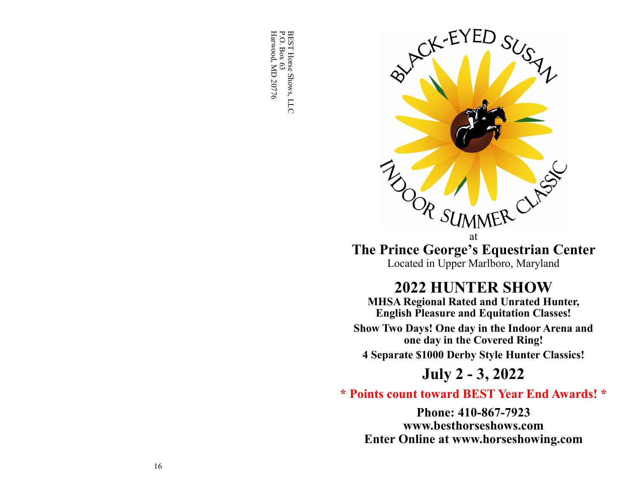BEST Horse Shows, LLC<br>P.O. Box 63<br>Harwood, MD 20776 Harwood, MD 20776 P.O. Box 63 BEST Horse Shows, LLC



**The Prince George's Equestrian Center** Located in Upper Marlboro, Maryland

# **2022 HUNTER SHOW**

**MHSA Regional Rated and Unrated Hunter, English Pleasure and Equitation Classes!**

**Show Two Days! One day in the Indoor Arena and one day in the Covered Ring!**

**4 Separate \$1000 Derby Style Hunter Classics!**

# **July 2 - 3, 2022**

# **\* Points count toward BEST Year End Awards! \***

**Phone: 410-867-7923 www.besthorseshows.com Enter Online at www.horseshowing.com**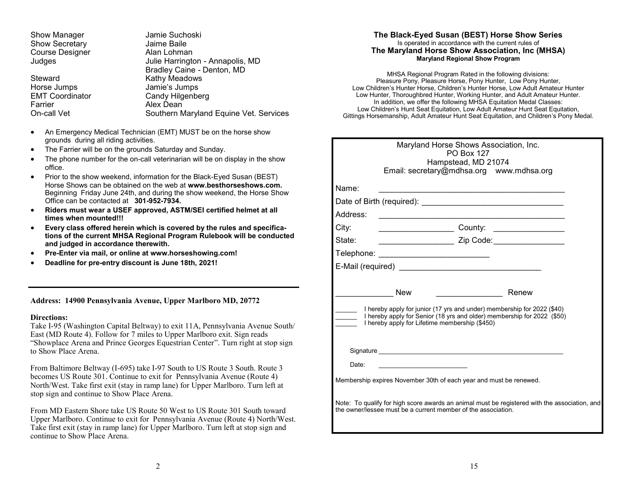| Show Manager           | Jamie Suchoski                         |
|------------------------|----------------------------------------|
| <b>Show Secretary</b>  | Jaime Baile                            |
| <b>Course Designer</b> | Alan Lohman                            |
| Judges                 | Julie Harrington - Annapolis, MD       |
|                        | Bradley Caine - Denton, MD             |
| Steward                | Kathy Meadows                          |
| Horse Jumps            | Jamie's Jumps                          |
| <b>EMT Coordinator</b> | Candy Hilgenberg                       |
| Farrier                | Alex Dean                              |
| On-call Vet            | Southern Maryland Equine Vet. Services |
|                        |                                        |

- An Emergency Medical Technician (EMT) MUST be on the horse show grounds during all riding activities.
- The Farrier will be on the grounds Saturday and Sunday.
- The phone number for the on-call veterinarian will be on display in the show office.
- Prior to the show weekend, information for the Black-Eyed Susan (BEST) Horse Shows can be obtained on the web at **www.besthorseshows.com.**  Beginning Friday June 24th, and during the show weekend, the Horse Show Office can be contacted at **301-952-7934.**
- **Riders must wear a USEF approved, ASTM/SEI certified helmet at all times when mounted!!!**
- **Every class offered herein which is covered by the rules and specifications of the current MHSA Regional Program Rulebook will be conducted and judged in accordance therewith.**
- **Pre-Enter via mail, or online at www.horseshowing.com!**
- **Deadline for pre-entry discount is June 18th, 2021!**

**Address: 14900 Pennsylvania Avenue, Upper Marlboro MD, 20772**

#### **Directions:**

Take I-95 (Washington Capital Beltway) to exit 11A, Pennsylvania Avenue South/ East (MD Route 4). Follow for 7 miles to Upper Marlboro exit. Sign reads "Showplace Arena and Prince Georges Equestrian Center". Turn right at stop sign to Show Place Arena.

From Baltimore Beltway (I-695) take I-97 South to US Route 3 South. Route 3 becomes US Route 301. Continue to exit for Pennsylvania Avenue (Route 4) North/West. Take first exit (stay in ramp lane) for Upper Marlboro. Turn left at stop sign and continue to Show Place Arena.

From MD Eastern Shore take US Route 50 West to US Route 301 South toward Upper Marlboro. Continue to exit for Pennsylvania Avenue (Route 4) North/West. Take first exit (stay in ramp lane) for Upper Marlboro. Turn left at stop sign and continue to Show Place Arena.

#### **The Black-Eyed Susan (BEST) Horse Show Series** Is operated in accordance with the current rules of **The Maryland Horse Show Association, Inc (MHSA) Maryland Regional Show Program**

MHSA Regional Program Rated in the following divisions: Pleasure Pony, Pleasure Horse, Pony Hunter, Low Pony Hunter, Low Children's Hunter Horse, Children's Hunter Horse, Low Adult Amateur Hunter Low Hunter, Thoroughbred Hunter, Working Hunter, and Adult Amateur Hunter. In addition, we offer the following MHSA Equitation Medal Classes: Low Children's Hunt Seat Equitation, Low Adult Amateur Hunt Seat Equitation, Gittings Horsemanship, Adult Amateur Hunt Seat Equitation, and Children's Pony Medal.

|          | Maryland Horse Shows Association, Inc.                                                                                                                                                               |
|----------|------------------------------------------------------------------------------------------------------------------------------------------------------------------------------------------------------|
|          | <b>PO Box 127</b>                                                                                                                                                                                    |
|          | Hampstead, MD 21074<br>Email: secretary@mdhsa.org www.mdhsa.org                                                                                                                                      |
|          |                                                                                                                                                                                                      |
| Name:    |                                                                                                                                                                                                      |
|          |                                                                                                                                                                                                      |
| Address: |                                                                                                                                                                                                      |
| City:    |                                                                                                                                                                                                      |
| State:   | _______________________ Zip Code:__________________                                                                                                                                                  |
|          | Telephone: ________________________________                                                                                                                                                          |
|          |                                                                                                                                                                                                      |
|          |                                                                                                                                                                                                      |
|          | <b>New</b><br>Renew<br><u> 1990 - Johann Barbara, martin a</u>                                                                                                                                       |
|          | I hereby apply for junior (17 yrs and under) membership for 2022 (\$40)<br>I hereby apply for Senior (18 yrs and older) membership for 2022 (\$50)<br>I hereby apply for Lifetime membership (\$450) |
|          |                                                                                                                                                                                                      |
| Date:    |                                                                                                                                                                                                      |
|          | Membership expires November 30th of each year and must be renewed.                                                                                                                                   |
|          | Note: To qualify for high score awards an animal must be registered with the association, and<br>the owner/lessee must be a current member of the association.                                       |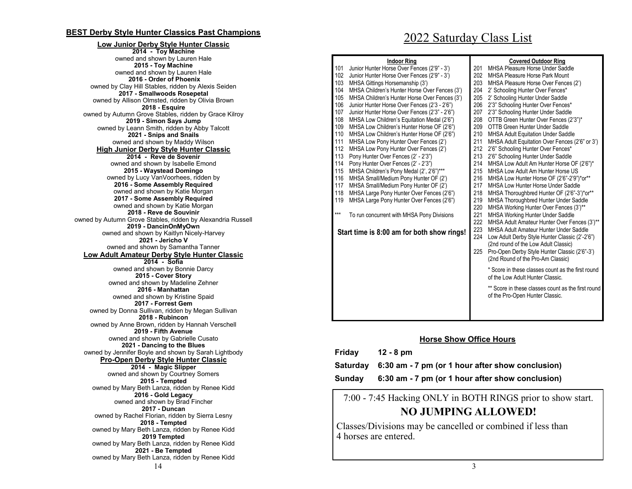## **BEST Derby Style Hunter Classics Past Champions**

#### 14 **Low Junior Derby Style Hunter Classic 2014 - Toy Machine** owned and shown by Lauren Hale **2015 - Toy Machine** owned and shown by Lauren Hale **2016 - Order of Phoenix** owned by Clay Hill Stables, ridden by Alexis Seiden **2017 - Smallwoods Rosepetal** owned by Allison Olmsted, ridden by Olivia Brown **2018 - Esquire** owned by Autumn Grove Stables, ridden by Grace Kilroy **2019 - Simon Says Jump** owned by Leann Smith, ridden by Abby Talcott **2021 - Snips and Snails** owned and shown by Maddy Wilson **High Junior Derby Style Hunter Classic 2014 - Reve de Sovenir** owned and shown by Isabelle Emond **2015 - Waystead Domingo** owned by Lucy VanVoorhees, ridden by **2016 - Some Assembly Required** owned and shown by Katie Morgan **2017 - Some Assembly Required** owned and shown by Katie Morgan **2018 - Reve de Souvinir** owned by Autumn Grove Stables, ridden by Alexandria Russell **2019 - DancinOnMyOwn** owned and shown by Kaitlyn Nicely-Harvey **2021 - Jericho V** owned and shown by Samantha Tanner **Low Adult Amateur Derby Style Hunter Classic 2014 - Sofia** owned and shown by Bonnie Darcy **2015 - Cover Story** owned and shown by Madeline Zehner **2016 - Manhattan** owned and shown by Kristine Spaid **2017 - Forrest Gem** owned by Donna Sullivan, ridden by Megan Sullivan **2018 - Rubincon** owned by Anne Brown, ridden by Hannah Verschell **2019 - Fifth Avenue** owned and shown by Gabrielle Cusato **2021 - Dancing to the Blues** owned by Jennifer Boyle and shown by Sarah Lightbody **Pro-Open Derby Style Hunter Classic 2014 - Magic Slipper** owned and shown by Courtney Somers **2015 - Tempted** owned by Mary Beth Lanza, ridden by Renee Kidd **2016 - Gold Legacy** owned and shown by Brad Fincher **2017 - Duncan** owned by Rachel Florian, ridden by Sierra Lesny **2018 - Tempted** owned by Mary Beth Lanza, ridden by Renee Kidd **2019 Tempted** owned by Mary Beth Lanza, ridden by Renee Kidd **2021 - Be Tempted** owned by Mary Beth Lanza, ridden by Renee Kidd

# 2022 Saturday Class List

|     | <b>Indoor Ring</b>                            |     | <b>Covered Outdoor Ring</b>                        |
|-----|-----------------------------------------------|-----|----------------------------------------------------|
| 101 | Junior Hunter Horse Over Fences (2'9" - 3')   | 201 | MHSA Pleasure Horse Under Saddle                   |
| 102 | Junior Hunter Horse Over Fences (2'9" - 3')   | 202 | <b>MHSA Pleasure Horse Park Mount</b>              |
| 103 | MHSA Gittings Horsemanship (3')               | 203 | MHSA Pleasure Horse Over Fences (2')               |
| 104 | MHSA Children's Hunter Horse Over Fences (3') | 204 | 2' Schooling Hunter Over Fences*                   |
| 105 | MHSA Children's Hunter Horse Over Fences (3') | 205 | 2' Schooling Hunter Under Saddle                   |
| 106 | Junior Hunter Horse Over Fences (2'3 - 2'6")  | 206 | 2'3" Schooling Hunter Over Fences*                 |
| 107 | Junior Hunter Horse Over Fences (2'3" - 2'6") | 207 | 2'3" Schooling Hunter Under Saddle                 |
| 108 | MHSA Low Children's Equitation Medal (2'6")   | 208 | OTTB Green Hunter Over Fences (2'3")*              |
| 109 | MHSA Low Children's Hunter Horse OF (2'6")    | 209 | OTTB Green Hunter Under Saddle                     |
| 110 | MHSA Low Children's Hunter Horse OF (2'6")    | 210 | MHSA Adult Equitation Under Saddle                 |
| 111 | MHSA Low Pony Hunter Over Fences (2')         | 211 | MHSA Adult Equitation Over Fences (2'6" or 3')     |
| 112 | MHSA Low Pony Hunter Over Fences (2')         | 212 | 2'6" Schooling Hunter Over Fences*                 |
| 113 | Pony Hunter Over Fences (2' - 2'3")           | 213 | 2'6" Schooling Hunter Under Saddle                 |
| 114 | Pony Hunter Over Fences (2' - 2'3")           | 214 | MHSA Low Adult Am Hunter Horse OF (2'6")*          |
| 115 | MHSA Children's Pony Medal (2', 2'6")***      | 215 | MHSA Low Adult Am Hunter Horse US                  |
| 116 | MHSA Small/Medium Pony Hunter OF (2')         | 216 | MHSA Low Hunter Horse OF (2'6"-2'9")*or**          |
| 117 | MHSA Small/Medium Pony Hunter OF (2')         | 217 | MHSA Low Hunter Horse Under Saddle                 |
| 118 | MHSA Large Pony Hunter Over Fences (2'6")     | 218 | MHSA Thoroughbred Hunter OF (2'6"-3')*or**         |
| 119 | MHSA Large Pony Hunter Over Fences (2'6")     | 219 | <b>MHSA Thoroughbred Hunter Under Saddle</b>       |
|     |                                               | 220 | MHSA Working Hunter Over Fences (3')**             |
| *** | To run concurrent with MHSA Pony Divisions    | 221 | <b>MHSA Working Hunter Under Saddle</b>            |
|     |                                               | 222 | MHSA Adult Amateur Hunter Over Fences (3')**       |
|     | Start time is 8:00 am for both show rings!    | 223 | MHSA Adult Amateur Hunter Under Saddle             |
|     |                                               | 224 | Low Adult Derby Style Hunter Classic (2'-2'6")     |
|     |                                               |     | (2nd round of the Low Adult Classic)               |
|     |                                               | 225 | Pro-Open Derby Style Hunter Classic (2'6"-3')      |
|     |                                               |     | (2nd Round of the Pro-Am Classic)                  |
|     |                                               |     | * Score in these classes count as the first round  |
|     |                                               |     | of the Low Adult Hunter Classic.                   |
|     |                                               |     | ** Score in these classes count as the first round |
|     |                                               |     | of the Pro-Open Hunter Classic.                    |
|     |                                               |     |                                                    |
|     |                                               |     |                                                    |

## **Horse Show Office Hours**

| Friday | $12 - 8 \text{ pm}$                                       |
|--------|-----------------------------------------------------------|
|        | Saturday 6:30 am - 7 pm (or 1 hour after show conclusion) |
| Sundav | 6:30 am - 7 pm (or 1 hour after show conclusion)          |

7:00 - 7:45 Hacking ONLY in BOTH RINGS prior to show start. **NO JUMPING ALLOWED!**

Classes/Divisions may be cancelled or combined if less than 4 horses are entered.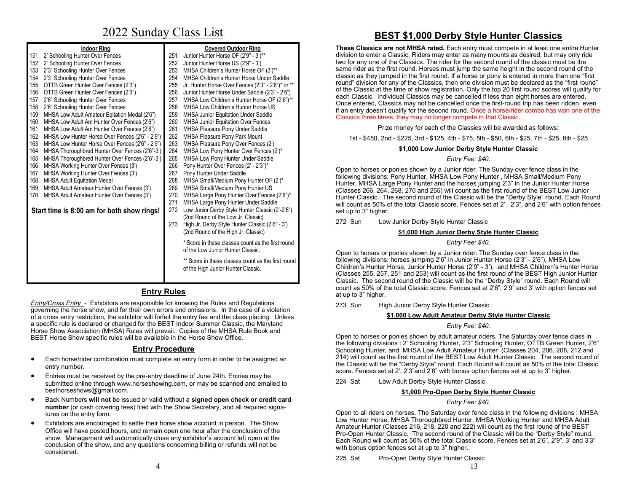# 2022 Sunday Class List

|     | <b>Indoor Ring</b>                              |     | <b>Covered Outdoor Ring</b>                        | Th              |
|-----|-------------------------------------------------|-----|----------------------------------------------------|-----------------|
| 151 | 2' Schooling Hunter Over Fences                 | 251 | Junior Hunter Horse OF (2'9" - 3')**               | div             |
| 152 | 2' Schooling Hunter Over Fences                 | 252 | Junior Hunter Horse US (2'9" - 3')                 | two             |
| 153 | 2'3" Schooling Hunter Over Fences               | 253 | MHSA Children's Hunter Horse OF (3')**             | sar             |
| 154 | 2'3" Schooling Hunter Over Fences               | 254 | MHSA Children's Hunter Horse Under Saddle          | cla             |
| 155 | OTTB Green Hunter Over Fences (2'3")            | 255 | Jr. Hunter Horse Over Fences (2'3" - 2'6")* or **  | rou             |
| 156 | OTTB Green Hunter Over Fences (2'3")            | 256 | Junior Hunter Horse Under Saddle (2'3" - 2'6")     | of t            |
| 157 | 2'6" Schooling Hunter Over Fences               | 257 | MHSA Low Children's Hunter Horse OF (2'6")**       | ea<br>On        |
| 158 | 2'6" Schooling Hunter Over Fences               | 258 | MHSA Low Children's Hunter Horse US                | if a            |
| 159 | MHSA Low Adult Amateur Egitation Medal (2'6")   | 259 | <b>MHSA Junior Equitation Under Saddle</b>         | Cla             |
| 160 | MHSA Low Adult Am Hunter Over Fences (2'6")     | 260 | <b>MHSA Junior Equitation Over Fences</b>          |                 |
| 161 | MHSA Low Adult Am Hunter Over Fences (2'6")     | 261 | <b>MHSA Pleasure Pony Under Saddle</b>             |                 |
| 162 | MHSA Low Hunter Horse Over Fences (2'6" - 2'9") | 262 | <b>MHSA Pleasure Pony Park Mount</b>               |                 |
| 163 | MHSA Low Hunter Horse Over Fences (2'6" - 2'9") | 263 | MHSA Pleasure Pony Over Fences (2')                |                 |
| 164 | MHSA Thoroughbred Hunter Over Fences (2'6"-3')  | 264 | MHSA Low Pony Hunter Over Fences (2')*             |                 |
| 165 | MHSA Thoroughbred Hunter Over Fences (2'6"-3')  | 265 | MHSA Low Pony Hunter Under Saddle                  |                 |
| 166 | MHSA Working Hunter Over Fences (3')            | 266 | Pony Hunter Over Fences (2' - 2'3")*               | Op              |
| 167 | MHSA Working Hunter Over Fences (3')            | 267 | Pony Hunter Under Saddle                           | foll            |
| 168 | <b>MHSA Adult Equitation Medal</b>              | 268 | MHSA Small/Medium Pony Hunter OF (2')*             | Hu              |
| 169 | MHSA Adult Amateur Hunter Over Fences (3')      | 269 | MHSA Small/Medium Pony Hunter US                   | (CI)            |
| 170 | MHSA Adult Amateur Hunter Over Fences (3')      | 270 | MHSA Large Pony Hunter Over Fences (2'6")*         | Hu              |
|     |                                                 | 271 | MHSA Large Pony Hunter Under Saddle                | will            |
|     | Start time is 8:00 am for both show rings!      | 272 | Low Junior Derby Style Hunter Classic (2'-2'6")    | set             |
|     |                                                 |     | (2nd Round of the Low Jr. Classic)                 | 27 <sup>2</sup> |
|     |                                                 | 273 | High Jr. Derby Style Hunter Classic (2'6" - 3')    |                 |
|     |                                                 |     | (2nd Round of the High Jr. Classic)                |                 |
|     |                                                 |     | * Score in these classes count as the first round  |                 |
|     |                                                 |     | of the Low Junior Hunter Classic.                  |                 |
|     |                                                 |     |                                                    | Op<br>foll      |
|     |                                                 |     | ** Score in these classes count as the first round | Ch              |
|     |                                                 |     | of the High Junior Hunter Classic.                 | (CI)            |
|     |                                                 |     |                                                    | $\sim$          |

## **Entry Rules**

*Entry/Cross Entry* - Exhibitors are responsible for knowing the Rules and Regulations governing the horse show, and for their own errors and omissions. In the case of a violation of a cross entry restriction, the exhibitor will forfeit the entry fee and the class placing. Unless a specific rule is declared or changed for the BEST Indoor Summer Classic, the Maryland Horse Show Association (MHSA) Rules will prevail. Copies of the MHSA Rule Book and BEST Horse Show specific rules will be available in the Horse Show Office.

## **Entry Procedure**

- Each horse/rider combination must complete an entry form in order to be assigned an entry number.
- Entries must be received by the pre-entry deadline of June 24th. Entries may be submitted online through www.horseshowing.com, or may be scanned and emailed to besthorseshows@gmail.com.
- Back Numbers **will not** be issued or valid without a **signed open check or credit card number** (or cash covering fees) filed with the Show Secretary, and all required signatures on the entry form.
- Exhibitors are encouraged to settle their horse show account in person. The Show Office will have posted hours, and remain open one hour after the conclusion of the show. Management will automatically close any exhibitor's account left open at the conclusion of the show, and any questions concerning billing or refunds will not be considered.

## **BEST \$1,000 Derby Style Hunter Classics**

**These Classics are not MHSA rated.** Each entry must compete in at least one entire Hunter rision to enter a Classic. Riders may enter as many mounts as desired, but may only ride o for any one of the Classics. The rider for the second round of the classic must be the me rider as the first round. Horses must jump the same height in the second round of the assic as they jumped in the first round. If a horse or pony is entered in more than one "first und" division for any of the Classics, then one division must be declared as the "first round" the Classic at the time of show registration. Only the top 20 first round scores will qualify for ch Classic. Individual Classics may be cancelled if less than eight horses are entered. nce entered, Classics may not be cancelled once the first-round trip has been ridden, even an entry doesn't qualify for the second round. Once a horse/rider combo has won one of the assics three times, they may no longer compete in that Classic.

Prize money for each of the Classics will be awarded as follows:

1st - \$450, 2nd - \$225, 3rd - \$125, 4th - \$75, 5th - \$50, 6th - \$25, 7th - \$25, 8th - \$25

## **\$1,000 Low Junior Derby Style Hunter Classic**

## *Entry Fee: \$40.*

en to horses or ponies shown by a Junior rider. The Sunday over fence class in the lowing divisions: Pony Hunter, MHSA Low Pony Hunter, MHSA Small/Medium Pony Inter, MHSA Large Pony Hunter and the horses jumping 2'3" in the Junior Hunter Horse lasses 266, 264, 268, 270 and 255) will count as the first round of the BEST Low Junior Inter Classic. The second round of the Classic will be the "Derby Style" round. Each Round count as 50% of the total Classic score. Fences set at 2', 2'3", and 2'6" with option fences up to 3" higher.

2 Sun Low Junior Derby Style Hunter Classic

## **\$1,000 High Junior Derby Style Hunter Classic**

## *Entry Fee: \$40.*

ben to horses or ponies shown by a Junior rider. The Sunday over fence class in the lowing divisions: horses jumping 2'6" in Junior Hunter Horse (2'3" - 2'6"), MHSA Low Children's Hunter Horse, Junior Hunter Horse (2'9" - 3'), and MHSA Children's Hunter Horse lasses 255, 257, 251 and 253) will count as the first round of the BEST High Junior Hunter Classic. The second round of the Classic will be the "Derby Style" round. Each Round will count as 50% of the total Classic score. Fences set at 2'6", 2'9" and 3' with option fences set at up to 3" higher.

273 Sun High Junior Derby Style Hunter Classic

## **\$1,000 Low Adult Amateur Derby Style Hunter Classic**

## *Entry Fee: \$40.*

Open to horses or ponies shown by adult amateur riders. The Saturday over fence class in the following divisions : 2' Schooling Hunter, 2'3" Schooling Hunter, OTTB Green Hunter, 2'6" Schooling Hunter, and MHSA Low Adult Amateur Hunter (Classes 204, 206, 208, 212 and 214) will count as the first round of the BEST Low Adult Hunter Classic. The second round of the Classic will be the "Derby Style" round. Each Round will count as 50% of the total Classic score. Fences set at 2', 2'3"and 2'6" with bonus option fences set at up to 3" higher.

224 Sat Low Adult Derby Style Hunter Classic

## **\$1,000 Pro-Open Derby Style Hunter Classic**

## *Entry Fee: \$40.*

Open to all riders on horses. The Saturday over fence class in the following divisions : MHSA Low Hunter Horse, MHSA Thoroughbred Hunter, MHSA Working Hunter and MHSA Adult Amateur Hunter (Classes 216, 218, 220 and 222) will count as the first round of the BEST Pro-Open Hunter Classic. The second round of the Classic will be the "Derby Style" round. Each Round will count as 50% of the total Classic score. Fences set at 2'6", 2'9", 3' and 3'3" with bonus option fences set at up to 3" higher.

225 Sat Pro-Open Derby Style Hunter Classic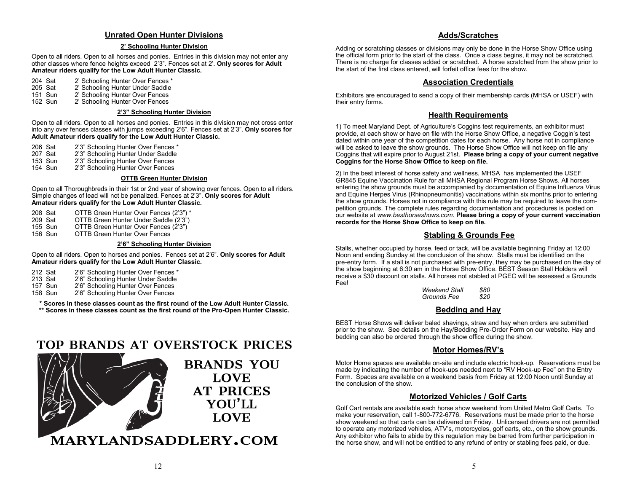## **Unrated Open Hunter Divisions**

#### **2' Schooling Hunter Division**

Open to all riders. Open to all horses and ponies. Entries in this division may not enter any other classes where fence heights exceed 2'3". Fences set at 2'. **Only scores for Adult Amateur riders qualify for the Low Adult Hunter Classic.**

204 Sat 2' Schooling Hunter Over Fences \*<br>205 Sat 2' Schooling Hunter Under Saddle

- 205 Sat 2' Schooling Hunter Under Saddle<br>151 Sun 2' Schooling Hunter Over Fences
- 151 Sun 2' Schooling Hunter Over Fences<br>152 Sun 2' Schooling Hunter Over Fences
- 2' Schooling Hunter Over Fences

#### **2'3" Schooling Hunter Division**

Open to all riders. Open to all horses and ponies. Entries in this division may not cross enter into any over fences classes with jumps exceeding 2'6". Fences set at 2'3". **Only scores for Adult Amateur riders qualify for the Low Adult Hunter Classic.**

206 Sat 2'3" Schooling Hunter Over Fences \*<br>207 Sat 2'3" Schooling Hunter Under Saddle

- 207 Sat 2'3" Schooling Hunter Under Saddle<br>153 Sun 2'3" Schooling Hunter Over Fences
- 153 Sun 2'3" Schooling Hunter Over Fences<br>154 Sun 2'3" Schooling Hunter Over Fences
- 2'3" Schooling Hunter Over Fences

#### **OTTB Green Hunter Division**

Open to all Thoroughbreds in their 1st or 2nd year of showing over fences. Open to all riders. Simple changes of lead will not be penalized. Fences at 2'3". **Only scores for Adult Amateur riders qualify for the Low Adult Hunter Classic.**

- 208 Sat OTTB Green Hunter Over Fences (2'3") \*<br>209 Sat OTTB Green Hunter Under Saddle (2'3")
- 209 Sat OTTB Green Hunter Under Saddle (2'3")<br>155 Sun OTTB Green Hunter Over Fences (2'3")
- 155 Sun OTTB Green Hunter Over Fences (2'3")<br>156 Sun OTTB Green Hunter Over Fences
	- OTTB Green Hunter Over Fences

#### **2'6" Schooling Hunter Division**

Open to all riders. Open to horses and ponies. Fences set at 2'6". **Only scores for Adult Amateur riders qualify for the Low Adult Hunter Classic.**

212 Sat 2'6" Schooling Hunter Over Fences \*<br>213 Sat 2'6" Schooling Hunter Under Saddle

213 Sat 2'6" Schooling Hunter Under Saddle<br>157 Sun 2'6" Schooling Hunter Over Fences

157 Sun 2'6" Schooling Hunter Over Fences<br>158 Sun 2'6" Schooling Hunter Over Fences

2'6" Schooling Hunter Over Fences

**\* Scores in these classes count as the first round of the Low Adult Hunter Classic. \*\* Scores in these classes count as the first round of the Pro-Open Hunter Classic.**

## **TOP BRANDS AT OVERSTOCK PRICES**



## **Adds/Scratches**

Adding or scratching classes or divisions may only be done in the Horse Show Office using the official form prior to the start of the class. Once a class begins, it may not be scratched. There is no charge for classes added or scratched. A horse scratched from the show prior to the start of the first class entered, will forfeit office fees for the show.

#### **Association Credentials**

Exhibitors are encouraged to send a copy of their membership cards (MHSA or USEF) with their entry forms.

## **Health Requirements**

1) To meet Maryland Dept. of Agriculture's Coggins test requirements, an exhibitor must provide, at each show or have on file with the Horse Show Office, a negative Coggin's test dated within one year of the competition dates for each horse. Any horse not in compliance will be asked to leave the show grounds. The Horse Show Office will not keep on file any Coggins that will expire prior to August 21st. **Please bring a copy of your current negative Coggins for the Horse Show Office to keep on file.**

2) In the best interest of horse safety and wellness, MHSA has implemented the USEF GR845 Equine Vaccination Rule for all MHSA Regional Program Horse Shows. All horses entering the show grounds must be accompanied by documentation of Equine Influenza Virus and Equine Herpes Virus (Rhinopneumonitis) vaccinations within six months prior to entering the show grounds. Horses not in compliance with this rule may be required to leave the competition grounds. The complete rules regarding documentation and procedures is posted on our website at *www.besthorseshows.com.* **Please bring a copy of your current vaccination records for the Horse Show Office to keep on file.**

### **Stabling & Grounds Fee**

Stalls, whether occupied by horse, feed or tack, will be available beginning Friday at 12:00 Noon and ending Sunday at the conclusion of the show. Stalls must be identified on the pre-entry form. If a stall is not purchased with pre-entry, they may be purchased on the day of the show beginning at 6:30 am in the Horse Show Office. BEST Season Stall Holders will receive a \$30 discount on stalls. All horses not stabled at PGEC will be assessed a Grounds Fee!

| Weekend Stall | \$80 |
|---------------|------|
| Grounds Fee   | \$20 |

## **Bedding and Hay**

BEST Horse Shows will deliver baled shavings, straw and hay when orders are submitted prior to the show. See details on the Hay/Bedding Pre-Order Form on our website. Hay and bedding can also be ordered through the show office during the show.

#### **Motor Homes/RV's**

Motor Home spaces are available on-site and include electric hook-up. Reservations must be made by indicating the number of hook-ups needed next to "RV Hook-up Fee" on the Entry Form. Spaces are available on a weekend basis from Friday at 12:00 Noon until Sunday at the conclusion of the show.

## **Motorized Vehicles / Golf Carts**

Golf Cart rentals are available each horse show weekend from United Metro Golf Carts. To make your reservation, call 1-800-772-6776. Reservations must be made prior to the horse show weekend so that carts can be delivered on Friday. Unlicensed drivers are not permitted to operate any motorized vehicles, ATV's, motorcycles, golf carts, etc., on the show grounds. Any exhibitor who fails to abide by this regulation may be barred from further participation in the horse show, and will not be entitled to any refund of entry or stabling fees paid, or due.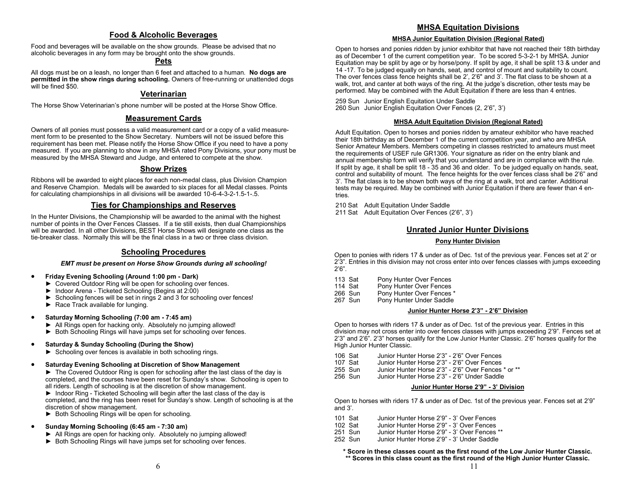## **Food & Alcoholic Beverages**

Food and beverages will be available on the show grounds. Please be advised that no alcoholic beverages in any form may be brought onto the show grounds.

## **Pets**

All dogs must be on a leash, no longer than 6 feet and attached to a human. **No dogs are permitted in the show rings during schooling.** Owners of free-running or unattended dogs will be fined \$50.

## **Veterinarian**

The Horse Show Veterinarian's phone number will be posted at the Horse Show Office.

### **Measurement Cards**

Owners of all ponies must possess a valid measurement card or a copy of a valid measurement form to be presented to the Show Secretary. Numbers will not be issued before this requirement has been met. Please notify the Horse Show Office if you need to have a pony measured. If you are planning to show in any MHSA rated Pony Divisions, your pony must be measured by the MHSA Steward and Judge, and entered to compete at the show.

### **Show Prizes**

Ribbons will be awarded to eight places for each non-medal class, plus Division Champion and Reserve Champion. Medals will be awarded to six places for all Medal classes. Points for calculating championships in all divisions will be awarded 10-6-4-3-2-1.5-1-.5.

## **Ties for Championships and Reserves**

In the Hunter Divisions, the Championship will be awarded to the animal with the highest number of points in the Over Fences Classes. If a tie still exists, then dual Championships will be awarded. In all other Divisions, BEST Horse Shows will designate one class as the tie-breaker class. Normally this will be the final class in a two or three class division.

## **Schooling Procedures**

#### *EMT must be present on Horse Show Grounds during all schooling!*

#### • **Friday Evening Schooling (Around 1:00 pm - Dark)**

- ► Covered Outdoor Ring will be open for schooling over fences.
- ► Indoor Arena Ticketed Schooling (Begins at 2:00)
- ► Schooling fences will be set in rings 2 and 3 for schooling over fences!
- ► Race Track available for lunging.
- **Saturday Morning Schooling (7:00 am - 7:45 am)**
	- ► All Rings open for hacking only. Absolutely no jumping allowed!
	- ► Both Schooling Rings will have jumps set for schooling over fences.

#### • **Saturday & Sunday Schooling (During the Show)**

► Schooling over fences is available in both schooling rings.

#### • **Saturday Evening Schooling at Discretion of Show Management**

► The Covered Outdoor Ring is open for schooling after the last class of the day is completed, and the courses have been reset for Sunday's show. Schooling is open to all riders. Length of schooling is at the discretion of show management.

► Indoor Ring - Ticketed Schooling will begin after the last class of the day is completed, and the ring has been reset for Sunday's show. Length of schooling is at the discretion of show management.

► Both Schooling Rings will be open for schooling.

#### • **Sunday Morning Schooling (6:45 am - 7:30 am)**

- ► All Rings are open for hacking only. Absolutely no jumping allowed!
- ► Both Schooling Rings will have jumps set for schooling over fences.

## **MHSA Equitation Divisions**

#### **MHSA Junior Equitation Division (Regional Rated)**

Open to horses and ponies ridden by junior exhibitor that have not reached their 18th birthday as of December 1 of the current competition year. To be scored 5-3-2-1 by MHSA. Junior Equitation may be split by age or by horse/pony. If split by age, it shall be split 13 & under and 14 -17. To be judged equally on hands, seat, and control of mount and suitability to count. The over fences class fence heights shall be 2', 2'6" and 3'. The flat class to be shown at a walk, trot, and canter at both ways of the ring. At the judge's discretion, other tests may be performed. May be combined with the Adult Equitation if there are less than 4 entries.

259 Sun Junior English Equitation Under Saddle 260 Sun Junior English Equitation Over Fences (2, 2'6", 3')

#### **MHSA Adult Equitation Division (Regional Rated)**

Adult Equitation. Open to horses and ponies ridden by amateur exhibitor who have reached their 18th birthday as of December 1 of the current competition year, and who are MHSA Senior Amateur Members. Members competing in classes restricted to amateurs must meet the requirements of USEF rule GR1306. Your signature as rider on the entry blank and annual membership form will verify that you understand and are in compliance with the rule. If split by age, it shall be split 18 - 35 and 36 and older. To be judged equally on hands, seat, control and suitability of mount. The fence heights for the over fences class shall be 2'6" and 3'. The flat class is to be shown both ways of the ring at a walk, trot and canter. Additional tests may be required. May be combined with Junior Equitation if there are fewer than 4 entries.

210 Sat Adult Equitation Under Saddle

211 Sat Adult Equitation Over Fences (2'6", 3')

## **Unrated Junior Hunter Divisions**

#### **Pony Hunter Division**

Open to ponies with riders 17 & under as of Dec. 1st of the previous year. Fences set at 2' or 2'3". Entries in this division may not cross enter into over fences classes with jumps exceeding  $2'6"$ 

- 113 Sat Pony Hunter Over Fences<br>114 Sat Pony Hunter Over Fences
- 114 Sat Pony Hunter Over Fences<br>266 Sun Pony Hunter Over Fences
- 266 Sun Pony Hunter Over Fences \*<br>267 Sun Pony Hunter Under Saddle
- Pony Hunter Under Saddle

#### **Junior Hunter Horse 2'3" - 2'6" Division**

Open to horses with riders 17 & under as of Dec. 1st of the previous year. Entries in this division may not cross enter into over fences classes with jumps exceeding 2'9". Fences set at 2'3" and 2'6". 2'3" horses qualify for the Low Junior Hunter Classic. 2'6" horses qualify for the High Junior Hunter Classic.

- 106 Sat Junior Hunter Horse 2'3" 2'6" Over Fences<br>107 Sat Junior Hunter Horse 2'3" 2'6" Over Fences
- 107 Sat Junior Hunter Horse 2'3" 2'6" Over Fences
- 255 Sun Junior Hunter Horse 2'3" 2'6" Over Fences \* or \*\*<br>256 Sun Junior Hunter Horse 2'3" 2'6" Under Saddle
- Junior Hunter Horse 2'3" 2'6" Under Saddle

#### **Junior Hunter Horse 2'9" - 3' Division**

Open to horses with riders 17 & under as of Dec. 1st of the previous year. Fences set at 2'9" and 3'.

| 101 Sat |  | Junior Hunter Horse 2'9" - 3' Over Fences |  |  |  |  |
|---------|--|-------------------------------------------|--|--|--|--|
|---------|--|-------------------------------------------|--|--|--|--|

- 102 Sat Junior Hunter Horse 2'9" 3' Over Fences
- 251 Sun Junior Hunter Horse 2'9" 3' Over Fences \*\*
- Junior Hunter Horse 2'9" 3' Under Saddle

**\* Score in these classes count as the first round of the Low Junior Hunter Classic. \*\* Scores in this class count as the first round of the High Junior Hunter Classic.**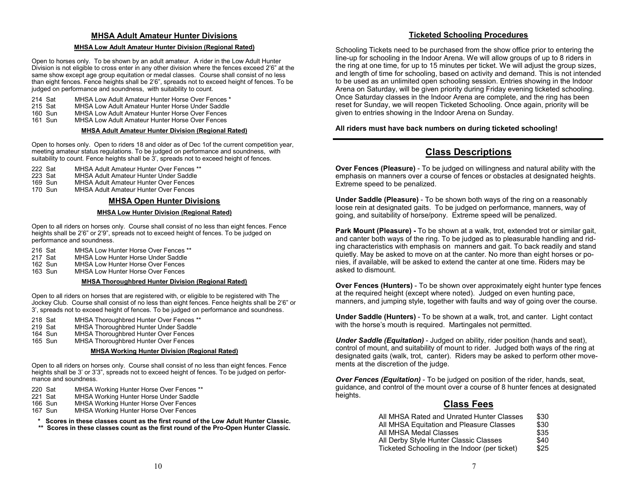## **MHSA Adult Amateur Hunter Divisions**

#### **MHSA Low Adult Amateur Hunter Division (Regional Rated)**

Open to horses only. To be shown by an adult amateur. A rider in the Low Adult Hunter Division is not eligible to cross enter in any other division where the fences exceed 2'6" at the same show except age group equitation or medal classes. Course shall consist of no less than eight fences. Fence heights shall be 2'6", spreads not to exceed height of fences. To be judged on performance and soundness, with suitability to count.

- 214 Sat MHSA Low Adult Amateur Hunter Horse Over Fences \*<br>215 Sat MHSA Low Adult Amateur Hunter Horse Under Saddle
- 215 Sat MHSA Low Adult Amateur Hunter Horse Under Saddle<br>160 Sun MHSA Low Adult Amateur Hunter Horse Over Fences
- 160 Sun MHSA Low Adult Amateur Hunter Horse Over Fences<br>161 Sun MHSA Low Adult Amateur Hunter Horse Over Fences
- MHSA Low Adult Amateur Hunter Horse Over Fences

#### **MHSA Adult Amateur Hunter Division (Regional Rated)**

Open to horses only. Open to riders 18 and older as of Dec 1of the current competition year, meeting amateur status regulations. To be judged on performance and soundness, with suitability to count. Fence heights shall be 3', spreads not to exceed height of fences.

- 222 Sat MHSA Adult Amateur Hunter Over Fences \*\*
- 223 Sat MHSA Adult Amateur Hunter Under Saddle<br>169 Sun MHSA Adult Amateur Hunter Over Fences
- 169 Sun MHSA Adult Amateur Hunter Over Fences<br>170 Sun MHSA Adult Amateur Hunter Over Fences
- **MHSA Adult Amateur Hunter Over Fences**

### **MHSA Open Hunter Divisions**

#### **MHSA Low Hunter Division (Regional Rated)**

Open to all riders on horses only. Course shall consist of no less than eight fences. Fence heights shall be 2'6" or 2'9", spreads not to exceed height of fences. To be judged on performance and soundness.

- 216 Sat MHSA Low Hunter Horse Over Fences \*\*<br>217 Sat MHSA Low Hunter Horse Under Saddle
- MHSA Low Hunter Horse Under Saddle
- 162 Sun MHSA Low Hunter Horse Over Fences<br>163 Sun MHSA Low Hunter Horse Over Fences
- **MHSA Low Hunter Horse Over Fences**

#### **MHSA Thoroughbred Hunter Division (Regional Rated)**

Open to all riders on horses that are registered with, or eligible to be registered with The Jockey Club. Course shall consist of no less than eight fences. Fence heights shall be 2'6" or 3', spreads not to exceed height of fences. To be judged on performance and soundness.

- 218 Sat MHSA Thoroughbred Hunter Over Fences \*\*<br>219 Sat MHSA Thoroughbred Hunter Under Saddle
- 219 Sat MHSA Thoroughbred Hunter Under Saddle<br>164 Sun MHSA Thoroughbred Hunter Over Fences
- 164 Sun MHSA Thoroughbred Hunter Over Fences<br>165 Sun MHSA Thoroughbred Hunter Over Fences
- MHSA Thoroughbred Hunter Over Fences

#### **MHSA Working Hunter Division (Regional Rated)**

Open to all riders on horses only. Course shall consist of no less than eight fences. Fence heights shall be 3' or 3'3", spreads not to exceed height of fences. To be judged on performance and soundness.

- 220 Sat MHSA Working Hunter Horse Over Fences \*\*<br>221 Sat MHSA Working Hunter Horse Under Saddle
- 221 Sat MHSA Working Hunter Horse Under Saddle
- 166 Sun MHSA Working Hunter Horse Over Fences<br>167 Sun MHSA Working Hunter Horse Over Fences
- MHSA Working Hunter Horse Over Fences
- **\* Scores in these classes count as the first round of the Low Adult Hunter Classic. \*\* Scores in these classes count as the first round of the Pro-Open Hunter Classic.**

## **Ticketed Schooling Procedures**

Schooling Tickets need to be purchased from the show office prior to entering the line-up for schooling in the Indoor Arena. We will allow groups of up to 8 riders in the ring at one time, for up to 15 minutes per ticket. We will adjust the group sizes, and length of time for schooling, based on activity and demand. This is not intended to be used as an unlimited open schooling session. Entries showing in the Indoor Arena on Saturday, will be given priority during Friday evening ticketed schooling. Once Saturday classes in the Indoor Arena are complete, and the ring has been reset for Sunday, we will reopen Ticketed Schooling. Once again, priority will be given to entries showing in the Indoor Arena on Sunday.

**All riders must have back numbers on during ticketed schooling!**

## **Class Descriptions**

**Over Fences (Pleasure)** - To be judged on willingness and natural ability with the emphasis on manners over a course of fences or obstacles at designated heights. Extreme speed to be penalized.

**Under Saddle (Pleasure)** - To be shown both ways of the ring on a reasonably loose rein at designated gaits. To be judged on performance, manners, way of going, and suitability of horse/pony. Extreme speed will be penalized.

**Park Mount (Pleasure) -** To be shown at a walk, trot, extended trot or similar gait, and canter both ways of the ring. To be judged as to pleasurable handling and riding characteristics with emphasis on manners and gait. To back readily and stand quietly. May be asked to move on at the canter. No more than eight horses or ponies, if available, will be asked to extend the canter at one time. Riders may be asked to dismount.

**Over Fences (Hunters)** - To be shown over approximately eight hunter type fences at the required height (except where noted). Judged on even hunting pace, manners, and jumping style, together with faults and way of going over the course.

**Under Saddle (Hunters)** - To be shown at a walk, trot, and canter. Light contact with the horse's mouth is required. Martingales not permitted.

*Under Saddle (Equitation)* - Judged on ability, rider position (hands and seat), control of mount, and suitability of mount to rider. Judged both ways of the ring at designated gaits (walk, trot, canter). Riders may be asked to perform other movements at the discretion of the judge.

*Over Fences (Equitation)* - To be judged on position of the rider, hands, seat, guidance, and control of the mount over a course of 8 hunter fences at designated heights.

## **Class Fees**

| All MHSA Rated and Unrated Hunter Classes     | \$30 |
|-----------------------------------------------|------|
| All MHSA Equitation and Pleasure Classes      | \$30 |
| All MHSA Medal Classes                        | \$35 |
| All Derby Style Hunter Classic Classes        | \$40 |
| Ticketed Schooling in the Indoor (per ticket) | \$25 |